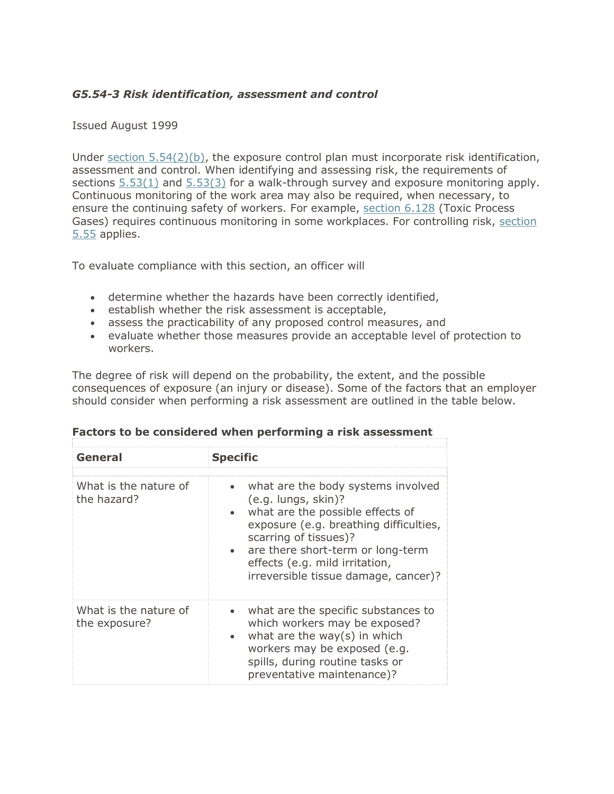### *G5.54-3 Risk identification, assessment and control*

#### Issued August 1999

Under section  $5.54(2)(b)$ , the exposure control plan must incorporate risk identification, assessment and control. When identifying and assessing risk, the requirements of sections [5.53\(1\)](https://www.worksafebc.com/en/law-policy/occupational-health-safety/searchable-ohs-regulation/ohs-regulation/part-05-chemical-and-biological-substances#SectionNumber:5.53) and [5.53\(3\)](https://www.worksafebc.com/en/law-policy/occupational-health-safety/searchable-ohs-regulation/ohs-regulation/part-05-chemical-and-biological-substances#SectionNumber:5.53) for a walk-through survey and exposure monitoring apply. Continuous monitoring of the work area may also be required, when necessary, to ensure the continuing safety of workers. For example, [section 6.128](https://www.worksafebc.com/en/law-policy/occupational-health-safety/searchable-ohs-regulation/ohs-regulation/part-06-substance-specific-requirements#SectionNumber:6.128) (Toxic Process Gases) requires continuous monitoring in some workplaces. For controlling risk, [section](https://www.worksafebc.com/en/law-policy/occupational-health-safety/searchable-ohs-regulation/ohs-regulation/part-05-chemical-and-biological-substances#SectionNumber:5.55) [5.55](https://www.worksafebc.com/en/law-policy/occupational-health-safety/searchable-ohs-regulation/ohs-regulation/part-05-chemical-and-biological-substances#SectionNumber:5.55) applies.

To evaluate compliance with this section, an officer will

- determine whether the hazards have been correctly identified,
- establish whether the risk assessment is acceptable,
- assess the practicability of any proposed control measures, and
- evaluate whether those measures provide an acceptable level of protection to workers.

The degree of risk will depend on the probability, the extent, and the possible consequences of exposure (an injury or disease). Some of the factors that an employer should consider when performing a risk assessment are outlined in the table below.

| General                                | <b>Specific</b>                                                                                                                                                                                                                                                                                           |
|----------------------------------------|-----------------------------------------------------------------------------------------------------------------------------------------------------------------------------------------------------------------------------------------------------------------------------------------------------------|
| What is the nature of<br>the hazard?   | what are the body systems involved<br>$\bullet$<br>(e.g. lungs, skin)?<br>what are the possible effects of<br>exposure (e.g. breathing difficulties,<br>scarring of tissues)?<br>are there short-term or long-term<br>$\bullet$<br>effects (e.g. mild irritation,<br>irreversible tissue damage, cancer)? |
| What is the nature of<br>the exposure? | what are the specific substances to<br>which workers may be exposed?<br>what are the way(s) in which<br>$\bullet$<br>workers may be exposed (e.g.<br>spills, during routine tasks or<br>preventative maintenance)?                                                                                        |

| Factors to be considered when performing a risk assessment |  |  |  |  |  |
|------------------------------------------------------------|--|--|--|--|--|
|------------------------------------------------------------|--|--|--|--|--|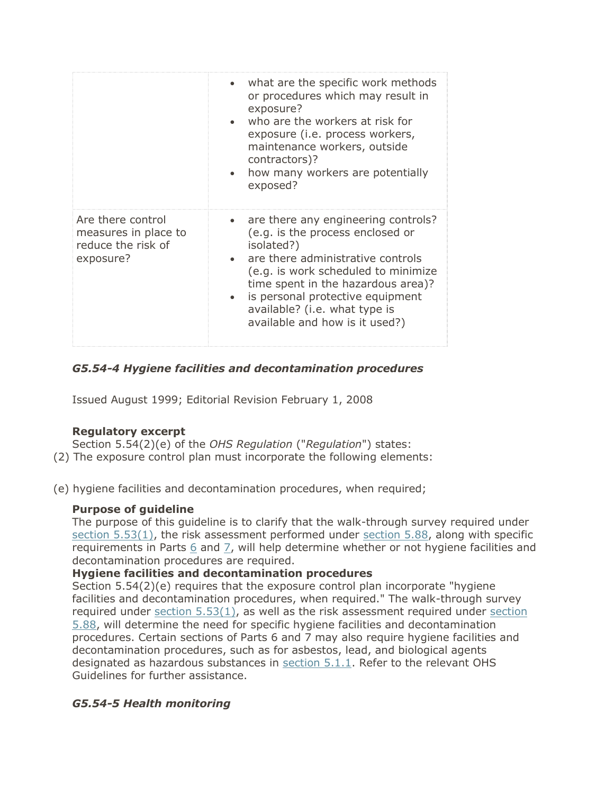|                                                                              | what are the specific work methods<br>or procedures which may result in<br>exposure?<br>who are the workers at risk for<br>exposure (i.e. process workers,<br>maintenance workers, outside<br>contractors)?<br>how many workers are potentially<br>exposed?                                                      |
|------------------------------------------------------------------------------|------------------------------------------------------------------------------------------------------------------------------------------------------------------------------------------------------------------------------------------------------------------------------------------------------------------|
| Are there control<br>measures in place to<br>reduce the risk of<br>exposure? | • are there any engineering controls?<br>(e.g. is the process enclosed or<br>isolated?)<br>are there administrative controls<br>(e.g. is work scheduled to minimize<br>time spent in the hazardous area)?<br>is personal protective equipment<br>available? (i.e. what type is<br>available and how is it used?) |

### *G5.54-4 Hygiene facilities and decontamination procedures*

Issued August 1999; Editorial Revision February 1, 2008

### **Regulatory excerpt**

Section 5.54(2)(e) of the *OHS Regulation* ("*Regulation*") states:

- (2) The exposure control plan must incorporate the following elements:
- (e) hygiene facilities and decontamination procedures, when required;

# **Purpose of guideline**

The purpose of this guideline is to clarify that the walk-through survey required under [section 5.53\(1\),](https://www.worksafebc.com/en/law-policy/occupational-health-safety/searchable-ohs-regulation/ohs-regulation/part-05-chemical-and-biological-substances#SectionNumber:5.53) the risk assessment performed under [section 5.88,](https://www.worksafebc.com/en/law-policy/occupational-health-safety/searchable-ohs-regulation/ohs-regulation/part-05-chemical-and-biological-substances#SectionNumber:5.88) along with specific requirements in Parts  $6$  and  $7$ , will help determine whether or not hygiene facilities and decontamination procedures are required.

### **Hygiene facilities and decontamination procedures**

Section 5.54(2)(e) requires that the exposure control plan incorporate "hygiene facilities and decontamination procedures, when required." The walk-through survey required under [section](https://www.worksafebc.com/en/law-policy/occupational-health-safety/searchable-ohs-regulation/ohs-regulation/part-05-chemical-and-biological-substances#SectionNumber:5.88)  $5.53(1)$ , as well as the risk assessment required under section [5.88,](https://www.worksafebc.com/en/law-policy/occupational-health-safety/searchable-ohs-regulation/ohs-regulation/part-05-chemical-and-biological-substances#SectionNumber:5.88) will determine the need for specific hygiene facilities and decontamination procedures. Certain sections of Parts 6 and 7 may also require hygiene facilities and decontamination procedures, such as for asbestos, lead, and biological agents designated as hazardous substances in [section 5.1.1.](https://www.worksafebc.com/en/law-policy/occupational-health-safety/searchable-ohs-regulation/ohs-regulation/part-05-chemical-and-biological-substances#SectionNumber:5.1.1) Refer to the relevant OHS Guidelines for further assistance.

# *G5.54-5 Health monitoring*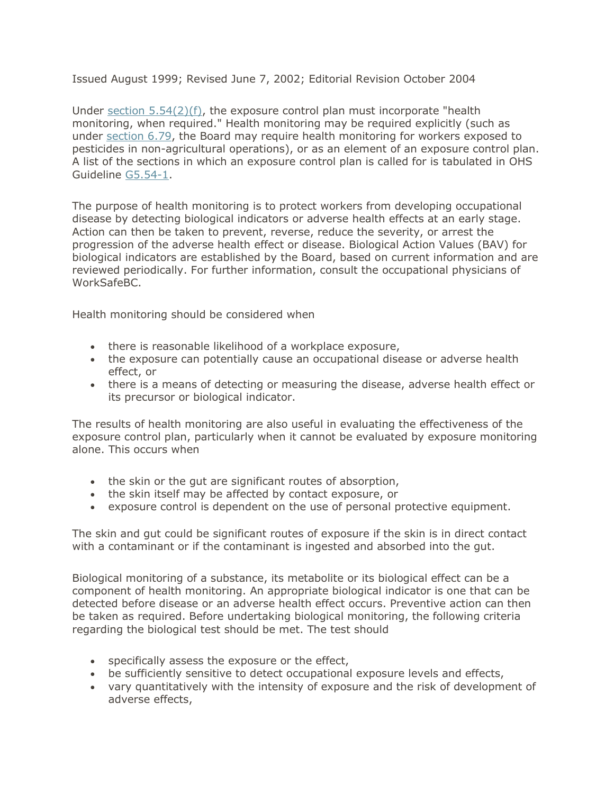Issued August 1999; Revised June 7, 2002; Editorial Revision October 2004

Under section  $5.54(2)(f)$ , the exposure control plan must incorporate "health monitoring, when required." Health monitoring may be required explicitly (such as under [section 6.79,](https://www.worksafebc.com/en/law-policy/occupational-health-safety/searchable-ohs-regulation/ohs-regulation/part-06-substance-specific-requirements#SectionNumber:6.79) the Board may require health monitoring for workers exposed to pesticides in non-agricultural operations), or as an element of an exposure control plan. A list of the sections in which an exposure control plan is called for is tabulated in OHS Guideline [G5.54-1.](https://www.worksafebc.com/en/law-policy/occupational-health-safety/searchable-ohs-regulation/ohs-guidelines/guidelines-part-05#SectionNumber:G5.54-1)

The purpose of health monitoring is to protect workers from developing occupational disease by detecting biological indicators or adverse health effects at an early stage. Action can then be taken to prevent, reverse, reduce the severity, or arrest the progression of the adverse health effect or disease. Biological Action Values (BAV) for biological indicators are established by the Board, based on current information and are reviewed periodically. For further information, consult the occupational physicians of WorkSafeBC.

Health monitoring should be considered when

- there is reasonable likelihood of a workplace exposure,
- the exposure can potentially cause an occupational disease or adverse health effect, or
- there is a means of detecting or measuring the disease, adverse health effect or its precursor or biological indicator.

The results of health monitoring are also useful in evaluating the effectiveness of the exposure control plan, particularly when it cannot be evaluated by exposure monitoring alone. This occurs when

- the skin or the gut are significant routes of absorption,
- the skin itself may be affected by contact exposure, or
- exposure control is dependent on the use of personal protective equipment.

The skin and gut could be significant routes of exposure if the skin is in direct contact with a contaminant or if the contaminant is ingested and absorbed into the gut.

Biological monitoring of a substance, its metabolite or its biological effect can be a component of health monitoring. An appropriate biological indicator is one that can be detected before disease or an adverse health effect occurs. Preventive action can then be taken as required. Before undertaking biological monitoring, the following criteria regarding the biological test should be met. The test should

- specifically assess the exposure or the effect,
- be sufficiently sensitive to detect occupational exposure levels and effects,
- vary quantitatively with the intensity of exposure and the risk of development of adverse effects,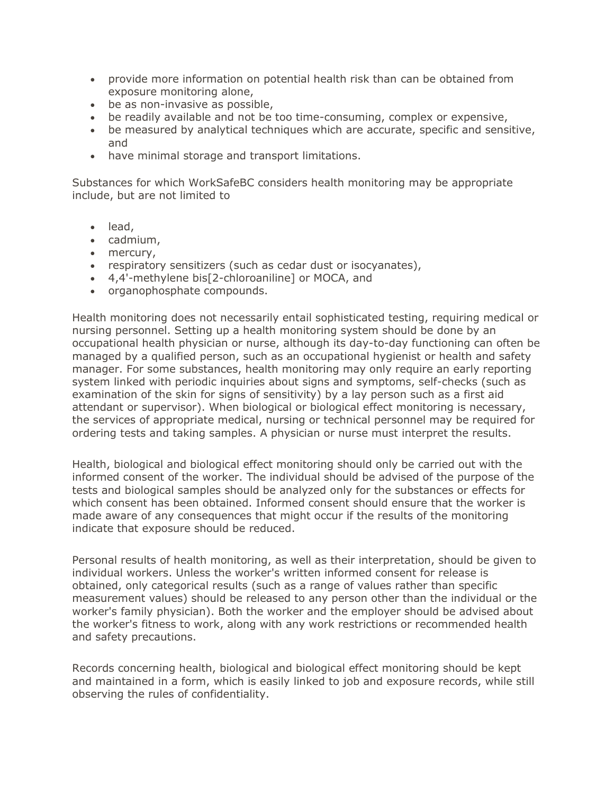- provide more information on potential health risk than can be obtained from exposure monitoring alone,
- be as non-invasive as possible,
- be readily available and not be too time-consuming, complex or expensive,
- be measured by analytical techniques which are accurate, specific and sensitive, and
- have minimal storage and transport limitations.

Substances for which WorkSafeBC considers health monitoring may be appropriate include, but are not limited to

- lead,
- cadmium,
- mercury,
- respiratory sensitizers (such as cedar dust or isocyanates),
- 4,4'-methylene bis[2-chloroaniline] or MOCA, and
- organophosphate compounds.

Health monitoring does not necessarily entail sophisticated testing, requiring medical or nursing personnel. Setting up a health monitoring system should be done by an occupational health physician or nurse, although its day-to-day functioning can often be managed by a qualified person, such as an occupational hygienist or health and safety manager. For some substances, health monitoring may only require an early reporting system linked with periodic inquiries about signs and symptoms, self-checks (such as examination of the skin for signs of sensitivity) by a lay person such as a first aid attendant or supervisor). When biological or biological effect monitoring is necessary, the services of appropriate medical, nursing or technical personnel may be required for ordering tests and taking samples. A physician or nurse must interpret the results.

Health, biological and biological effect monitoring should only be carried out with the informed consent of the worker. The individual should be advised of the purpose of the tests and biological samples should be analyzed only for the substances or effects for which consent has been obtained. Informed consent should ensure that the worker is made aware of any consequences that might occur if the results of the monitoring indicate that exposure should be reduced.

Personal results of health monitoring, as well as their interpretation, should be given to individual workers. Unless the worker's written informed consent for release is obtained, only categorical results (such as a range of values rather than specific measurement values) should be released to any person other than the individual or the worker's family physician). Both the worker and the employer should be advised about the worker's fitness to work, along with any work restrictions or recommended health and safety precautions.

Records concerning health, biological and biological effect monitoring should be kept and maintained in a form, which is easily linked to job and exposure records, while still observing the rules of confidentiality.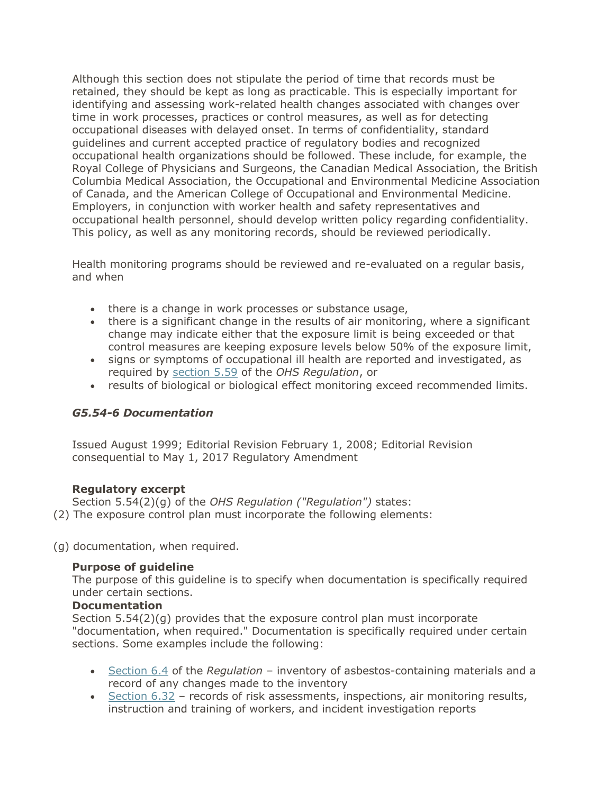Although this section does not stipulate the period of time that records must be retained, they should be kept as long as practicable. This is especially important for identifying and assessing work-related health changes associated with changes over time in work processes, practices or control measures, as well as for detecting occupational diseases with delayed onset. In terms of confidentiality, standard guidelines and current accepted practice of regulatory bodies and recognized occupational health organizations should be followed. These include, for example, the Royal College of Physicians and Surgeons, the Canadian Medical Association, the British Columbia Medical Association, the Occupational and Environmental Medicine Association of Canada, and the American College of Occupational and Environmental Medicine. Employers, in conjunction with worker health and safety representatives and occupational health personnel, should develop written policy regarding confidentiality. This policy, as well as any monitoring records, should be reviewed periodically.

Health monitoring programs should be reviewed and re-evaluated on a regular basis, and when

- there is a change in work processes or substance usage,
- there is a significant change in the results of air monitoring, where a significant change may indicate either that the exposure limit is being exceeded or that control measures are keeping exposure levels below 50% of the exposure limit,
- signs or symptoms of occupational ill health are reported and investigated, as required by [section 5.59](https://www.worksafebc.com/en/law-policy/occupational-health-safety/searchable-ohs-regulation/ohs-regulation/part-05-chemical-and-biological-substances#SectionNumber:5.59) of the *OHS Regulation*, or
- results of biological or biological effect monitoring exceed recommended limits.

### *G5.54-6 Documentation*

Issued August 1999; Editorial Revision February 1, 2008; Editorial Revision consequential to May 1, 2017 Regulatory Amendment

### **Regulatory excerpt**

Section 5.54(2)(g) of the *OHS Regulation ("Regulation")* states: (2) The exposure control plan must incorporate the following elements:

(g) documentation, when required.

# **Purpose of guideline**

The purpose of this guideline is to specify when documentation is specifically required under certain sections.

### **Documentation**

Section 5.54(2)(g) provides that the exposure control plan must incorporate "documentation, when required." Documentation is specifically required under certain sections. Some examples include the following:

- [Section 6.4](https://www.worksafebc.com/en/law-policy/occupational-health-safety/searchable-ohs-regulation/ohs-regulation/part-06-substance-specific-requirements#SectionNumber:6.4) of the *Regulation* inventory of asbestos-containing materials and a record of any changes made to the inventory
- [Section 6.32](https://www.worksafebc.com/en/law-policy/occupational-health-safety/searchable-ohs-regulation/ohs-regulation/part-06-substance-specific-requirements#SectionNumber:6.32) records of risk assessments, inspections, air monitoring results, instruction and training of workers, and incident investigation reports